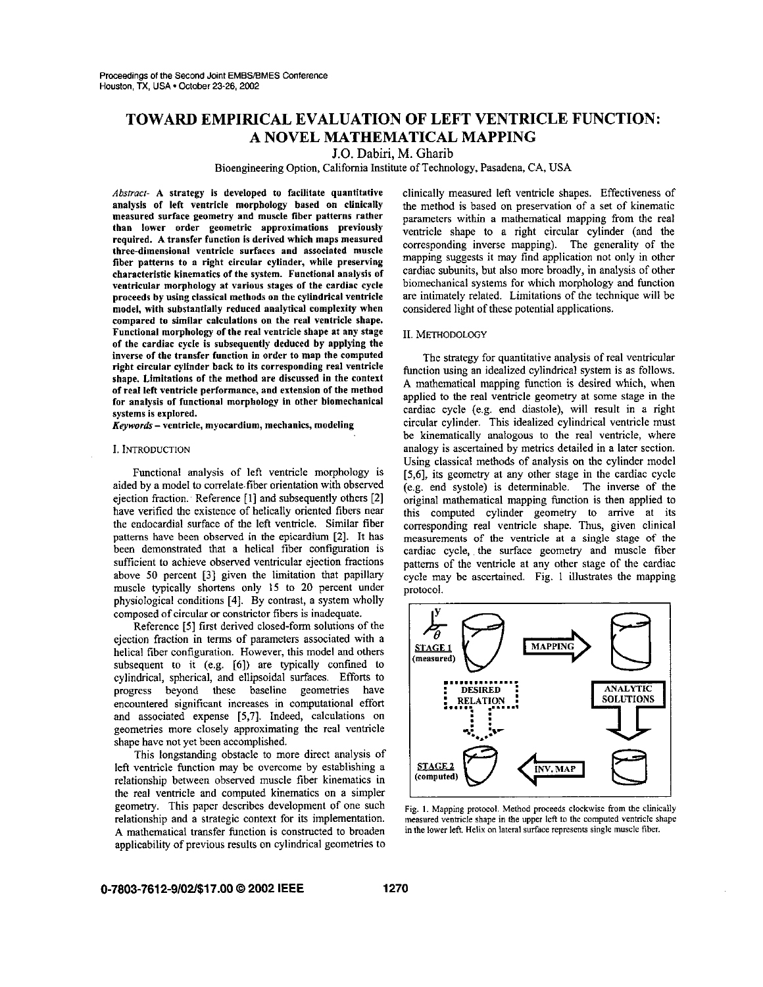# TOWARD EMPIRICAL EVALUATION OF LEFT VENTRICLE FUNCTION: A NOVEL MATHEMATICAL MAPPING

J.O. Dabiri, M. Gharib

Bioengineering Option, California Institute of Technology, Pasadena, CA, USA

*Abstract-* A strategy is developed to facilitate quantitative analysis of left ventricle morphology based on clinically measured surface geometry and muscle fiber patterns rather than lower order geometric approximations previously required. A transfer function is derived which maps measured three-dimensional ventricle surfaces and associated muscle fiber patterns to a right circular cylinder, while preserving characteristic kinematics of the system. Functional analysis of ventricular morphology at various stages of the cardiac cycle proceeds by using classical methods on the cylindrical ventricle model, with substantially reduced analytical complexity when compared to similar calculations on the real ventricle shape. Functional morphology of the real ventricle shape at any stage of the cardiac cycle is subsequently deduced by applying the inverse of the transfer function in order to map the computed right circular cylinder back to its corresponding real ventricle shape. Limitations of the method are discussed in the context of real left ventricle performance, and extension of the method for analysis of functional morphology in other biomechanical systems is explored.

*Keywords-* ventricle, myocardium, mechanics, modeling

## I. INTRODUCTION

Functional analysis of left ventricle morphology is aided by a model to correlate.fiber orientation with observed ejection fraction. Reference [1] and subsequently others [2] have verified the existence of helically oriented fibers near the endocardial surface of the left ventricle. Similar fiber patterns have been observed in the epicardium [2]. It has been demonstrated that a helical fiber configuration is sufficient to achieve observed ventricular ejection fractions above 50 percent [3] given the limitation that papillary muscle typically shortens only 15 to 20 percent under physiological conditions [4]. By contrast, a system wholly composed of circular or constrictor fibers is inadequate.

Reference [5] first derived closed-form solutions of the ejection fraction in terms of parameters associated with a helical fiber configuration. However, this model and others subsequent to it (e.g. [6]) are typically confmed to cylindrical, spherical, and ellipsoidal surfaces. Efforts to progress beyond these baseline geometries have encountered significant increases in computational effort and associated expense [5,7]. Indeed, calculations on geometries more closely approximating the real ventricle shape have not yet been accomplished.

This longstanding obstacle to more direct analysis of left ventricle function may be overcome by establishing a relationship between observed muscle fiber kinematics in the real ventricle and computed kinematics on a simpler geometry. This paper describes development of one such relationship and a strategic context for its implementation. A mathematical transfer function is constructed to broaden applicability of previous results on cylindrical geometries to clinically measured left ventricle shapes. Effectiveness of the method is based on preservation of a set of kinematic parameters within a mathematical mapping from the real ventricle shape to a right circular cylinder (and the corresponding inverse mapping). The generality of the mapping suggests it may find application not only in other cardiac subunits, but also more broadly, in analysis of other biomechanical systems for which morphology and function are intimately related. Limitations of the technique will be considered light of these potential applications.

### II. METHODOLOGY

The strategy for quantitative analysis of real ventricular function using an idealized cylindrical system is as follows. A mathematical mapping function is desired which, when applied to the real ventricle geometry at some stage in the cardiac cycle (e.g. end diastole), will result in a right circular cylinder. This idealized cylindrical ventricle must be kinematically analogous to the real ventricle, where analogy is ascertained by metrics detailed in a later section. Using classical methods of analysis on the cylinder model [5,6], its geometry at any other stage in the cardiac cycle (e.g. end systole) is determinable. The inverse of the original mathematical mapping function is then applied to this computed cylinder geometry to arrive at its corresponding real ventricle shape. Thus, given clinical measurements of the ventricle at a single stage of the cardiac cycle, the surface geometry and muscle fiber patterns of the ventricle at any other stage of the cardiac cycle may be ascertained. Fig. 1 illustrates the mapping protocol.



Fig. I. Mapping protocol. Method proceeds clockwise from the clinically measured ventricle shape in the upper left to the computed ventricle shape in the lower left. Helix on lateral surface represents single muscle fiber.